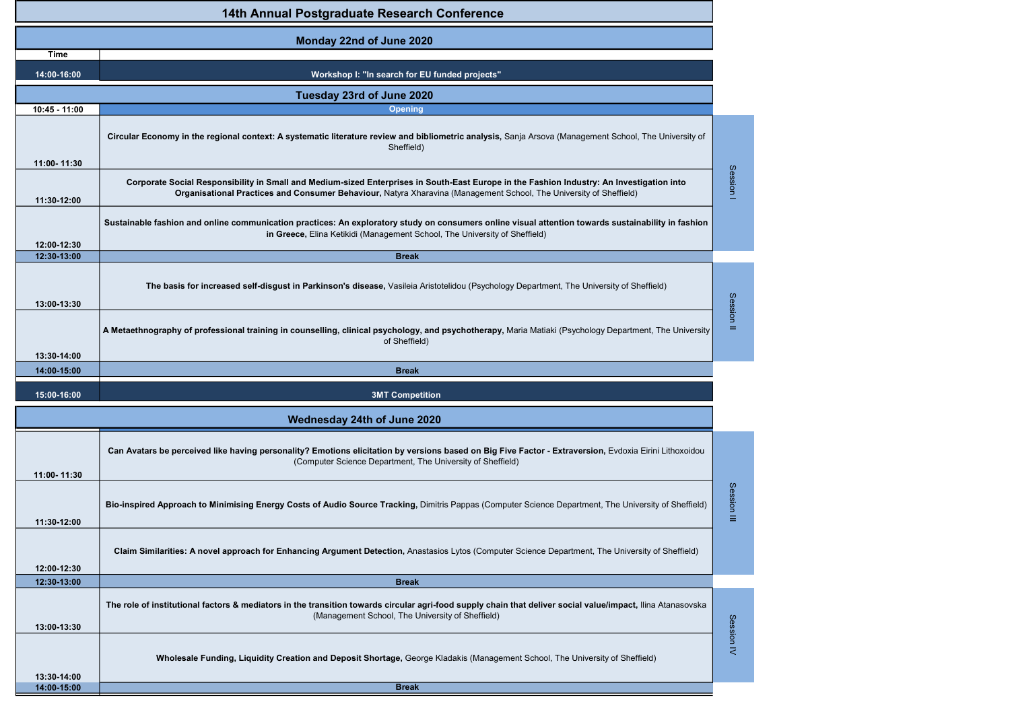|                            | 14th Annual Postgraduate Research Conference                                                                                                                                                                                                                    |             |
|----------------------------|-----------------------------------------------------------------------------------------------------------------------------------------------------------------------------------------------------------------------------------------------------------------|-------------|
|                            | Monday 22nd of June 2020                                                                                                                                                                                                                                        |             |
| <b>Time</b>                |                                                                                                                                                                                                                                                                 |             |
| 14:00-16:00                | Workshop I: "In search for EU funded projects"                                                                                                                                                                                                                  |             |
|                            | Tuesday 23rd of June 2020                                                                                                                                                                                                                                       |             |
| 10:45 - 11:00              | <b>Opening</b>                                                                                                                                                                                                                                                  |             |
| 11:00-11:30                | Circular Economy in the regional context: A systematic literature review and bibliometric analysis, Sanja Arsova (Management School, The University of<br>Sheffield)                                                                                            |             |
| 11:30-12:00                | Corporate Social Responsibility in Small and Medium-sized Enterprises in South-East Europe in the Fashion Industry: An Investigation into<br>Organisational Practices and Consumer Behaviour, Natyra Xharavina (Management School, The University of Sheffield) | Session I   |
| 12:00-12:30                | Sustainable fashion and online communication practices: An exploratory study on consumers online visual attention towards sustainability in fashion<br>in Greece, Elina Ketikidi (Management School, The University of Sheffield)                               |             |
| 12:30-13:00                | <b>Break</b>                                                                                                                                                                                                                                                    |             |
| 13:00-13:30                | The basis for increased self-disgust in Parkinson's disease, Vasileia Aristotelidou (Psychology Department, The University of Sheffield)                                                                                                                        | Session     |
|                            | A Metaethnography of professional training in counselling, clinical psychology, and psychotherapy, Maria Matiaki (Psychology Department, The University<br>of Sheffield)                                                                                        | $\equiv$    |
|                            |                                                                                                                                                                                                                                                                 |             |
| 13:30-14:00<br>14:00-15:00 | <b>Break</b>                                                                                                                                                                                                                                                    |             |
| 15:00-16:00                | <b>3MT Competition</b>                                                                                                                                                                                                                                          |             |
|                            | Wednesday 24th of June 2020                                                                                                                                                                                                                                     |             |
| 11:00-11:30                | Can Avatars be perceived like having personality? Emotions elicitation by versions based on Big Five Factor - Extraversion, Evdoxia Eirini Lithoxoidou<br>(Computer Science Department, The University of Sheffield)                                            |             |
| 11:30-12:00                | Bio-inspired Approach to Minimising Energy Costs of Audio Source Tracking, Dimitris Pappas (Computer Science Department, The University of Sheffield)                                                                                                           | Session III |
| 12:00-12:30                | Claim Similarities: A novel approach for Enhancing Argument Detection, Anastasios Lytos (Computer Science Department, The University of Sheffield)                                                                                                              |             |
| 12:30-13:00                | <b>Break</b>                                                                                                                                                                                                                                                    |             |
| 13:00-13:30                | The role of institutional factors & mediators in the transition towards circular agri-food supply chain that deliver social value/impact, Ilina Atanasovska<br>(Management School, The University of Sheffield)                                                 |             |
| 13:30-14:00<br>14:00-15:00 | Wholesale Funding, Liquidity Creation and Deposit Shortage, George Kladakis (Management School, The University of Sheffield)<br><b>Break</b>                                                                                                                    | Session IV  |